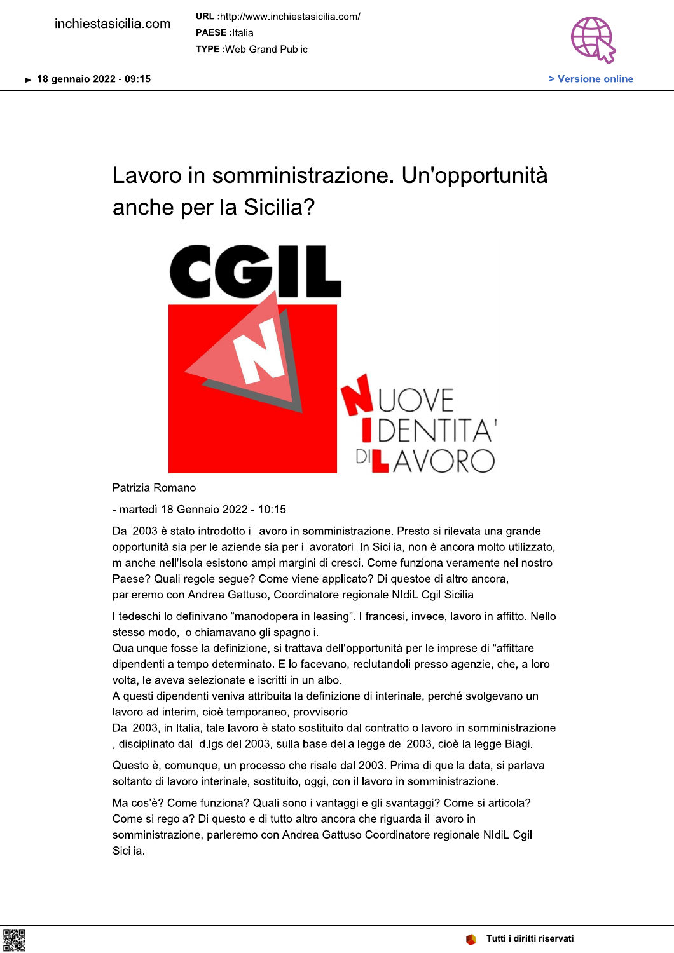URL:http://www.inchiestasicilia.com/ **PAESE** : Italia **TYPE: Web Grand Public** 



## Lavoro in somministrazione. Un'opportunità anche per la Sicilia?



Patrizia Romano

- martedì 18 Gennaio 2022 - 10:15

Dal 2003 è stato introdotto il lavoro in somministrazione. Presto si rilevata una grande opportunità sia per le aziende sia per i lavoratori. In Sicilia, non è ancora molto utilizzato, m anche nell'Isola esistono ampi margini di cresci. Come funziona veramente nel nostro Paese? Quali regole segue? Come viene applicato? Di questoe di altro ancora, parleremo con Andrea Gattuso, Coordinatore regionale NIdiL Cgil Sicilia

I tedeschi lo definivano "manodopera in leasing". I francesi, invece, lavoro in affitto. Nello stesso modo, lo chiamavano gli spagnoli.

Qualunque fosse la definizione, si trattava dell'opportunità per le imprese di "affittare dipendenti a tempo determinato. E lo facevano, reclutandoli presso agenzie, che, a loro volta, le aveva selezionate e iscritti in un albo.

A questi dipendenti veniva attribuita la definizione di interinale, perché svolgevano un lavoro ad interim, cioè temporaneo, provvisorio.

Dal 2003, in Italia, tale lavoro è stato sostituito dal contratto o lavoro in somministrazione , disciplinato dal d.lgs del 2003, sulla base della legge del 2003, cioè la legge Biagi.

Questo è, comunque, un processo che risale dal 2003. Prima di quella data, si parlava soltanto di lavoro interinale, sostituito, oggi, con il lavoro in somministrazione.

Ma cos'è? Come funziona? Quali sono i vantaggi e gli svantaggi? Come si articola? Come si regola? Di questo e di tutto altro ancora che riguarda il lavoro in somministrazione, parleremo con Andrea Gattuso Coordinatore regionale NIdiL Cgil Sicilia.

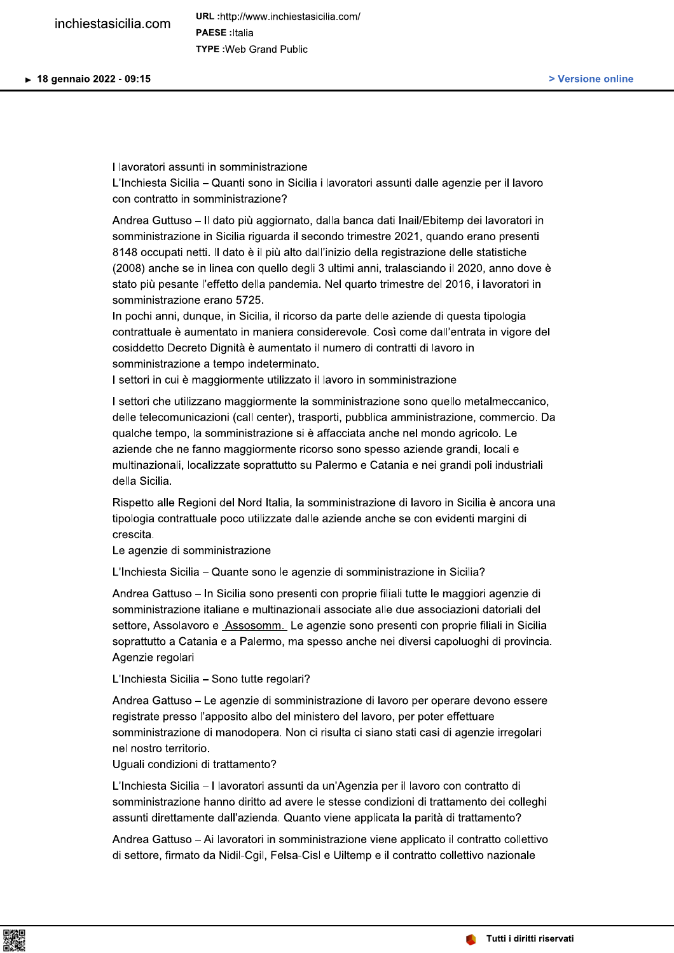I lavoratori assunti in somministrazione L'Inchiesta Sicilia - Quanti sono in Sicilia i lavoratori assunti dalle agenzie per il lavoro con contratto in somministrazione?

Andrea Guttuso - Il dato più aggiornato, dalla banca dati Inail/Ebitemp dei lavoratori in somministrazione in Sicilia riguarda il secondo trimestre 2021, quando erano presenti 8148 occupati netti. Il dato è il più alto dall'inizio della registrazione delle statistiche (2008) anche se in linea con quello degli 3 ultimi anni, tralasciando il 2020, anno dove è stato più pesante l'effetto della pandemia. Nel quarto trimestre del 2016, i lavoratori in somministrazione erano 5725.

In pochi anni, dunque, in Sicilia, il ricorso da parte delle aziende di questa tipologia contrattuale è aumentato in maniera considerevole. Così come dall'entrata in vigore del cosiddetto Decreto Dignità è aumentato il numero di contratti di lavoro in somministrazione a tempo indeterminato.

I settori in cui è maggiormente utilizzato il lavoro in somministrazione

I settori che utilizzano maggiormente la somministrazione sono quello metalmeccanico. delle telecomunicazioni (call center), trasporti, pubblica amministrazione, commercio. Da qualche tempo, la somministrazione si è affacciata anche nel mondo agricolo. Le aziende che ne fanno maggiormente ricorso sono spesso aziende grandi, locali e multinazionali, localizzate soprattutto su Palermo e Catania e nei grandi poli industriali della Sicilia.

Rispetto alle Regioni del Nord Italia, la somministrazione di lavoro in Sicilia è ancora una tipologia contrattuale poco utilizzate dalle aziende anche se con evidenti margini di crescita.

Le agenzie di somministrazione

L'Inchiesta Sicilia – Quante sono le agenzie di somministrazione in Sicilia?

Andrea Gattuso – In Sicilia sono presenti con proprie filiali tutte le maggiori agenzie di somministrazione italiane e multinazionali associate alle due associazioni datoriali del settore, Assolavoro e Assosomm. Le agenzie sono presenti con proprie filiali in Sicilia soprattutto a Catania e a Palermo, ma spesso anche nei diversi capoluoghi di provincia. Agenzie regolari

L'Inchiesta Sicilia - Sono tutte regolari?

Andrea Gattuso - Le agenzie di somministrazione di lavoro per operare devono essere registrate presso l'apposito albo del ministero del lavoro, per poter effettuare somministrazione di manodopera. Non ci risulta ci siano stati casi di agenzie irregolari nel nostro territorio.

Uquali condizioni di trattamento?

L'Inchiesta Sicilia - I lavoratori assunti da un'Agenzia per il lavoro con contratto di somministrazione hanno diritto ad avere le stesse condizioni di trattamento dei colleghi assunti direttamente dall'azienda. Quanto viene applicata la parità di trattamento?

Andrea Gattuso - Ai lavoratori in somministrazione viene applicato il contratto collettivo di settore, firmato da Nidil-Cgil, Felsa-Cisl e Uiltemp e il contratto collettivo nazionale

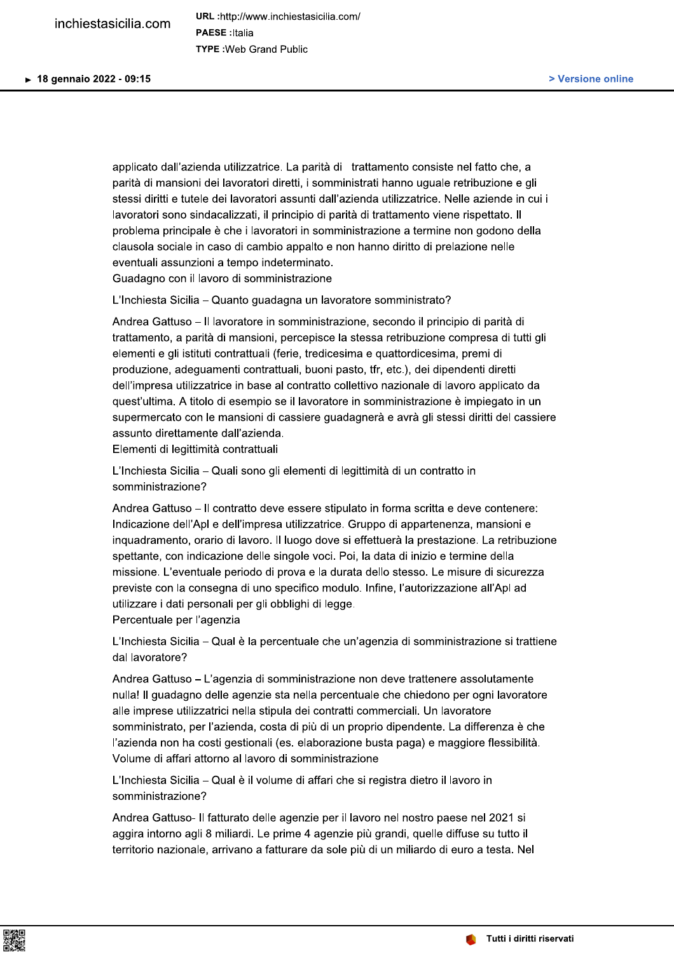applicato dall'azienda utilizzatrice. La parità di trattamento consiste nel fatto che, a parità di mansioni dei lavoratori diretti, i somministrati hanno uguale retribuzione e gli stessi diritti e tutele dei lavoratori assunti dall'azienda utilizzatrice. Nelle aziende in cui i lavoratori sono sindacalizzati, il principio di parità di trattamento viene rispettato. Il problema principale è che i lavoratori in somministrazione a termine non godono della clausola sociale in caso di cambio appalto e non hanno diritto di prelazione nelle eventuali assunzioni a tempo indeterminato. Guadagno con il lavoro di somministrazione

L'Inchiesta Sicilia - Quanto guadagna un lavoratore somministrato?

Andrea Gattuso - Il lavoratore in somministrazione, secondo il principio di parità di trattamento, a parità di mansioni, percepisce la stessa retribuzione compresa di tutti gli elementi e gli istituti contrattuali (ferie, tredicesima e quattordicesima, premi di produzione, adeguamenti contrattuali, buoni pasto, tfr, etc.), dei dipendenti diretti dell'impresa utilizzatrice in base al contratto collettivo nazionale di lavoro applicato da quest'ultima. A titolo di esempio se il lavoratore in somministrazione è impiegato in un supermercato con le mansioni di cassiere guadagnerà e avrà gli stessi diritti del cassiere assunto direttamente dall'azienda.

Elementi di legittimità contrattuali

L'Inchiesta Sicilia – Quali sono gli elementi di legittimità di un contratto in somministrazione?

Andrea Gattuso - Il contratto deve essere stipulato in forma scritta e deve contenere: Indicazione dell'Apl e dell'impresa utilizzatrice. Gruppo di appartenenza, mansioni e inguadramento, orario di lavoro. Il luogo dove si effettuerà la prestazione. La retribuzione spettante, con indicazione delle singole voci. Poi, la data di inizio e termine della missione. L'eventuale periodo di prova e la durata dello stesso. Le misure di sicurezza previste con la consegna di uno specifico modulo. Infine, l'autorizzazione all'Apl ad utilizzare i dati personali per gli obblighi di legge.

Percentuale per l'agenzia

L'Inchiesta Sicilia – Qual è la percentuale che un'agenzia di somministrazione si trattiene dal lavoratore?

Andrea Gattuso - L'agenzia di somministrazione non deve trattenere assolutamente nulla! Il guadagno delle agenzie sta nella percentuale che chiedono per ogni lavoratore alle imprese utilizzatrici nella stipula dei contratti commerciali. Un lavoratore somministrato, per l'azienda, costa di più di un proprio dipendente. La differenza è che l'azienda non ha costi gestionali (es. elaborazione busta paga) e maggiore flessibilità. Volume di affari attorno al lavoro di somministrazione

L'Inchiesta Sicilia – Qual è il volume di affari che si registra dietro il lavoro in somministrazione?

Andrea Gattuso- Il fatturato delle agenzie per il lavoro nel nostro paese nel 2021 si aggira intorno agli 8 miliardi. Le prime 4 agenzie più grandi, quelle diffuse su tutto il territorio nazionale, arrivano a fatturare da sole più di un miliardo di euro a testa. Nel

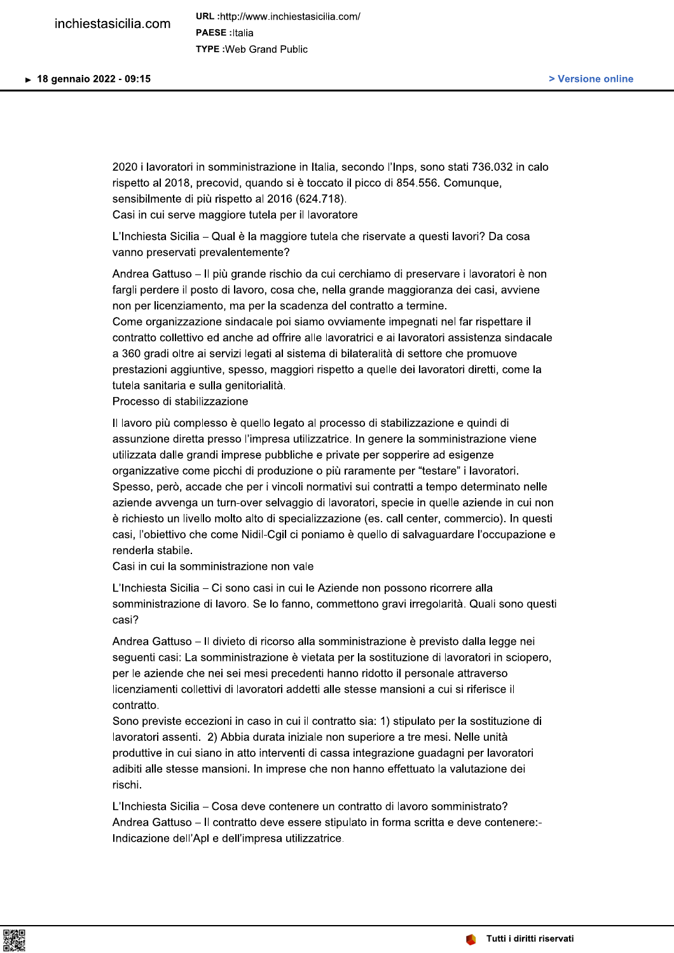2020 i lavoratori in somministrazione in Italia, secondo l'Inps, sono stati 736.032 in calo rispetto al 2018, precovid, quando si è toccato il picco di 854.556. Comunque, sensibilmente di più rispetto al 2016 (624.718). Casi in cui serve maggiore tutela per il lavoratore

L'Inchiesta Sicilia – Qual è la maggiore tutela che riservate a questi lavori? Da cosa vanno preservati prevalentemente?

Andrea Gattuso – Il più grande rischio da cui cerchiamo di preservare i lavoratori è non fargli perdere il posto di lavoro, cosa che, nella grande maggioranza dei casi, avviene non per licenziamento, ma per la scadenza del contratto a termine.

Come organizzazione sindacale poi siamo ovviamente impegnati nel far rispettare il contratto collettivo ed anche ad offrire alle lavoratrici e ai lavoratori assistenza sindacale a 360 gradi oltre ai servizi legati al sistema di bilateralità di settore che promuove prestazioni aggiuntive, spesso, maggiori rispetto a quelle dei lavoratori diretti, come la tutela sanitaria e sulla genitorialità.

Processo di stabilizzazione

Il lavoro più complesso è quello legato al processo di stabilizzazione e quindi di assunzione diretta presso l'impresa utilizzatrice. In genere la somministrazione viene utilizzata dalle grandi imprese pubbliche e private per sopperire ad esigenze organizzative come picchi di produzione o più raramente per "testare" i lavoratori. Spesso, però, accade che per i vincoli normativi sui contratti a tempo determinato nelle aziende avvenga un turn-over selvaggio di lavoratori, specie in quelle aziende in cui non è richiesto un livello molto alto di specializzazione (es. call center, commercio). In questi casi, l'obiettivo che come Nidil-Cgil ci poniamo è quello di salvaguardare l'occupazione e renderla stabile.

Casi in cui la somministrazione non vale

L'Inchiesta Sicilia - Ci sono casi in cui le Aziende non possono ricorrere alla somministrazione di lavoro. Se lo fanno, commettono gravi irregolarità. Quali sono questi casi?

Andrea Gattuso – Il divieto di ricorso alla somministrazione è previsto dalla legge nei seguenti casi: La somministrazione è vietata per la sostituzione di lavoratori in sciopero, per le aziende che nei sei mesi precedenti hanno ridotto il personale attraverso licenziamenti collettivi di lavoratori addetti alle stesse mansioni a cui si riferisce il contratto.

Sono previste eccezioni in caso in cui il contratto sia: 1) stipulato per la sostituzione di lavoratori assenti. 2) Abbia durata iniziale non superiore a tre mesi. Nelle unità produttive in cui siano in atto interventi di cassa integrazione guadagni per lavoratori adibiti alle stesse mansioni. In imprese che non hanno effettuato la valutazione dei rischi.

L'Inchiesta Sicilia – Cosa deve contenere un contratto di lavoro somministrato? Andrea Gattuso - Il contratto deve essere stipulato in forma scritta e deve contenere:-Indicazione dell'Apl e dell'impresa utilizzatrice.